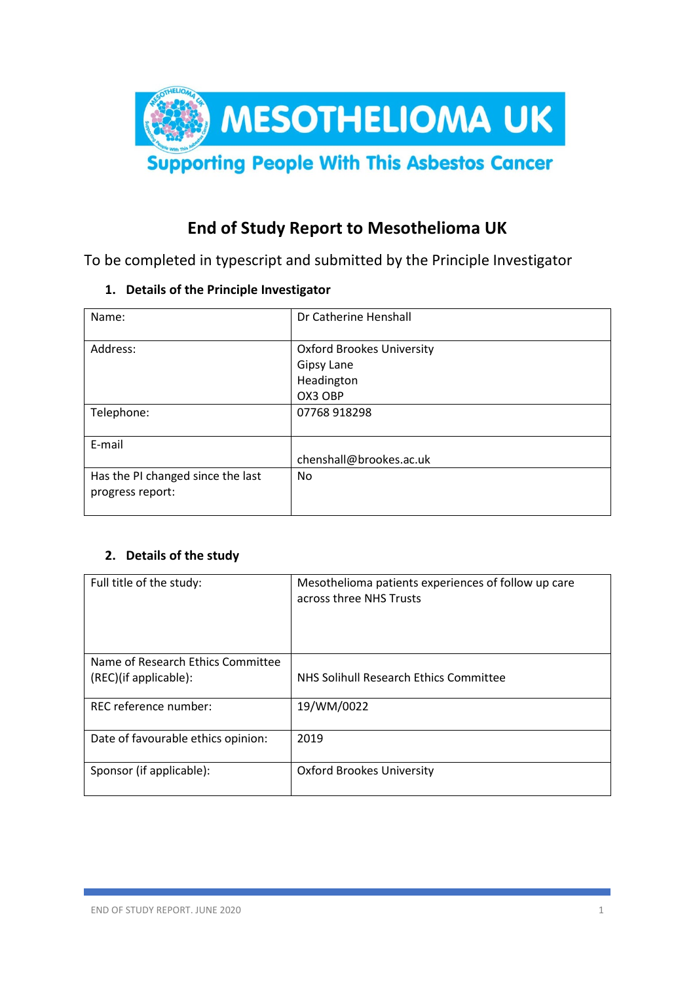

# **End of Study Report to Mesothelioma UK**

To be completed in typescript and submitted by the Principle Investigator

**1. Details of the Principle Investigator**

| Name:                             | Dr Catherine Henshall            |
|-----------------------------------|----------------------------------|
| Address:                          | <b>Oxford Brookes University</b> |
|                                   | Gipsy Lane                       |
|                                   | Headington                       |
|                                   | OX3 OBP                          |
| Telephone:                        | 07768 918298                     |
|                                   |                                  |
| E-mail                            |                                  |
|                                   | chenshall@brookes.ac.uk          |
| Has the PI changed since the last | No                               |
| progress report:                  |                                  |
|                                   |                                  |

# **2. Details of the study**

| Full title of the study:           | Mesothelioma patients experiences of follow up care |
|------------------------------------|-----------------------------------------------------|
|                                    | across three NHS Trusts                             |
|                                    |                                                     |
|                                    |                                                     |
|                                    |                                                     |
|                                    |                                                     |
|                                    |                                                     |
| Name of Research Ethics Committee  |                                                     |
|                                    |                                                     |
| (REC)(if applicable):              | NHS Solihull Research Ethics Committee              |
|                                    |                                                     |
| REC reference number:              | 19/WM/0022                                          |
|                                    |                                                     |
|                                    |                                                     |
| Date of favourable ethics opinion: | 2019                                                |
|                                    |                                                     |
|                                    |                                                     |
| Sponsor (if applicable):           | Oxford Brookes University                           |
|                                    |                                                     |
|                                    |                                                     |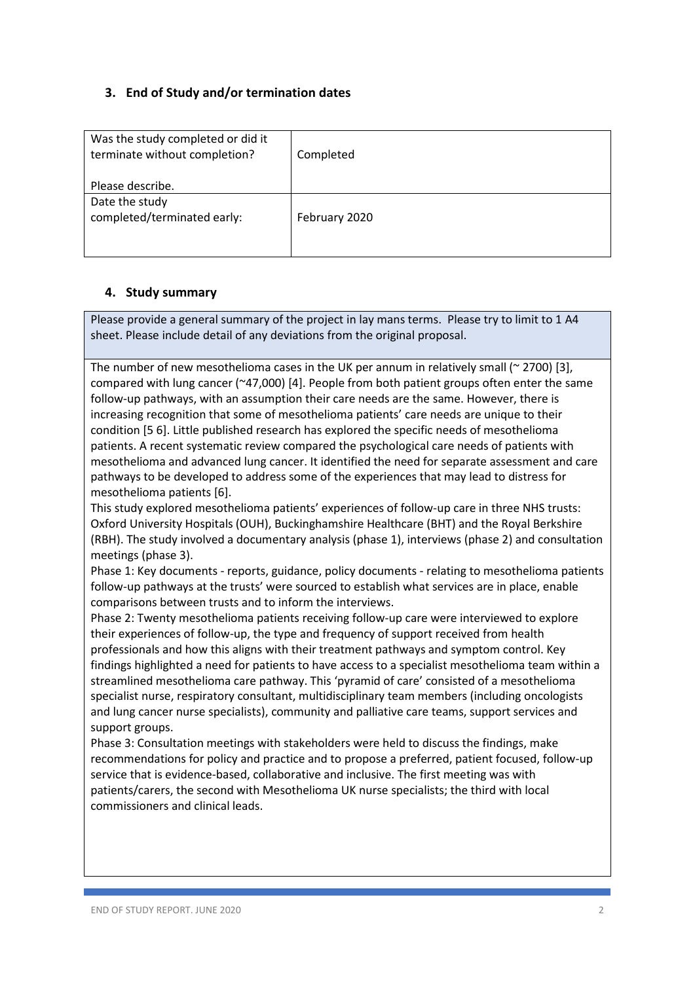# **3. End of Study and/or termination dates**

| Was the study completed or did it<br>terminate without completion? | Completed     |
|--------------------------------------------------------------------|---------------|
| Please describe.                                                   |               |
| Date the study<br>completed/terminated early:                      | February 2020 |

### **4. Study summary**

Please provide a general summary of the project in lay mans terms. Please try to limit to 1 A4 sheet. Please include detail of any deviations from the original proposal.

The number of new mesothelioma cases in the UK per annum in relatively small ( $\approx$  2700) [3], compared with lung cancer (~47,000) [4]. People from both patient groups often enter the same follow-up pathways, with an assumption their care needs are the same. However, there is increasing recognition that some of mesothelioma patients' care needs are unique to their condition [5 6]. Little published research has explored the specific needs of mesothelioma patients. A recent systematic review compared the psychological care needs of patients with mesothelioma and advanced lung cancer. It identified the need for separate assessment and care pathways to be developed to address some of the experiences that may lead to distress for mesothelioma patients [6].

This study explored mesothelioma patients' experiences of follow-up care in three NHS trusts: Oxford University Hospitals (OUH), Buckinghamshire Healthcare (BHT) and the Royal Berkshire (RBH). The study involved a documentary analysis (phase 1), interviews (phase 2) and consultation meetings (phase 3).

Phase 1: Key documents - reports, guidance, policy documents - relating to mesothelioma patients follow-up pathways at the trusts' were sourced to establish what services are in place, enable comparisons between trusts and to inform the interviews.

Phase 2: Twenty mesothelioma patients receiving follow-up care were interviewed to explore their experiences of follow-up, the type and frequency of support received from health professionals and how this aligns with their treatment pathways and symptom control. Key findings highlighted a need for patients to have access to a specialist mesothelioma team within a streamlined mesothelioma care pathway. This 'pyramid of care' consisted of a mesothelioma specialist nurse, respiratory consultant, multidisciplinary team members (including oncologists and lung cancer nurse specialists), community and palliative care teams, support services and support groups.

Phase 3: Consultation meetings with stakeholders were held to discuss the findings, make recommendations for policy and practice and to propose a preferred, patient focused, follow-up service that is evidence-based, collaborative and inclusive. The first meeting was with patients/carers, the second with Mesothelioma UK nurse specialists; the third with local commissioners and clinical leads.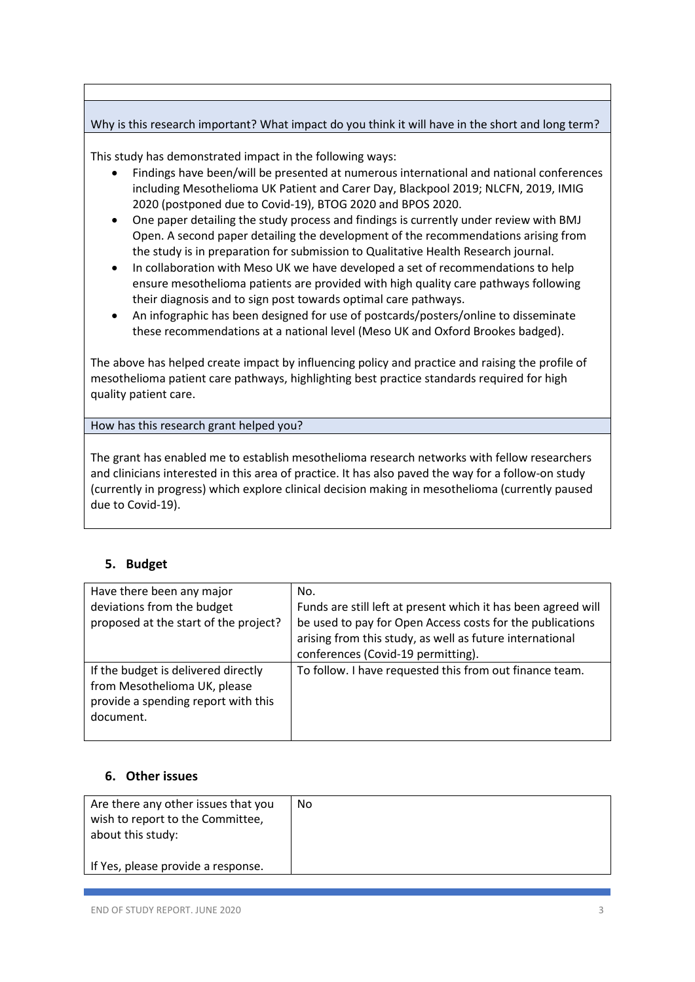## Why is this research important? What impact do you think it will have in the short and long term?

This study has demonstrated impact in the following ways:

- Findings have been/will be presented at numerous international and national conferences including Mesothelioma UK Patient and Carer Day, Blackpool 2019; NLCFN, 2019, IMIG 2020 (postponed due to Covid-19), BTOG 2020 and BPOS 2020.
- One paper detailing the study process and findings is currently under review with BMJ Open. A second paper detailing the development of the recommendations arising from the study is in preparation for submission to Qualitative Health Research journal.
- In collaboration with Meso UK we have developed a set of recommendations to help ensure mesothelioma patients are provided with high quality care pathways following their diagnosis and to sign post towards optimal care pathways.
- An infographic has been designed for use of postcards/posters/online to disseminate these recommendations at a national level (Meso UK and Oxford Brookes badged).

The above has helped create impact by influencing policy and practice and raising the profile of mesothelioma patient care pathways, highlighting best practice standards required for high quality patient care.

How has this research grant helped you?

The grant has enabled me to establish mesothelioma research networks with fellow researchers and clinicians interested in this area of practice. It has also paved the way for a follow-on study (currently in progress) which explore clinical decision making in mesothelioma (currently paused due to Covid-19).

# **5. Budget**

| Have there been any major<br>deviations from the budget<br>proposed at the start of the project?                        | No.<br>Funds are still left at present which it has been agreed will<br>be used to pay for Open Access costs for the publications<br>arising from this study, as well as future international<br>conferences (Covid-19 permitting). |
|-------------------------------------------------------------------------------------------------------------------------|-------------------------------------------------------------------------------------------------------------------------------------------------------------------------------------------------------------------------------------|
| If the budget is delivered directly<br>from Mesothelioma UK, please<br>provide a spending report with this<br>document. | To follow. I have requested this from out finance team.                                                                                                                                                                             |

### **6. Other issues**

| Are there any other issues that you<br>wish to report to the Committee,<br>about this study: | No |
|----------------------------------------------------------------------------------------------|----|
| If Yes, please provide a response.                                                           |    |
|                                                                                              |    |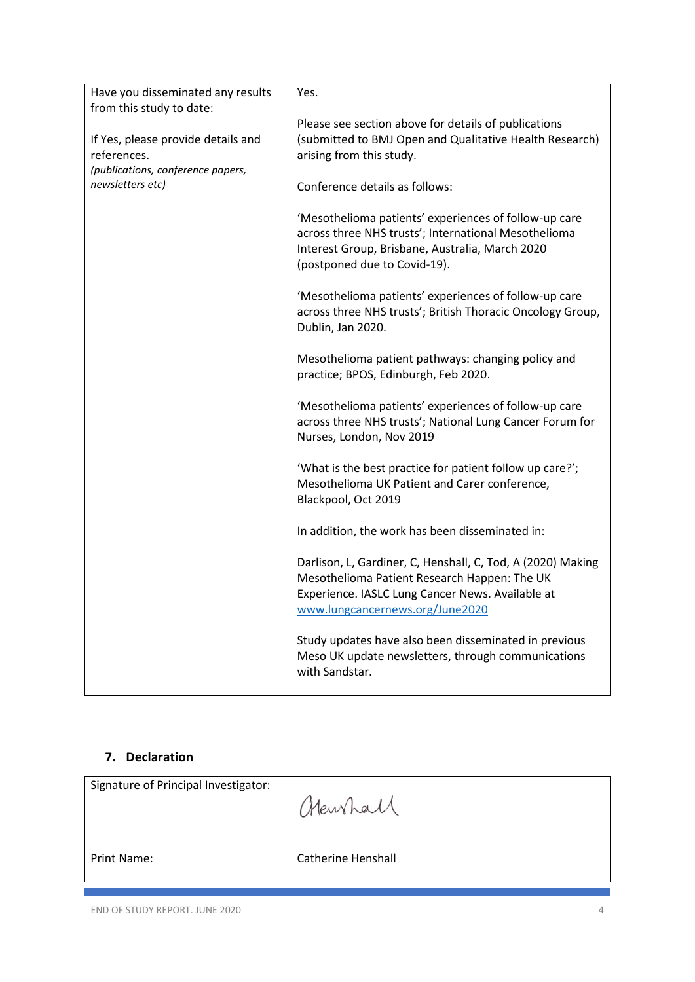| Have you disseminated any results  | Yes.                                                                                                                                                                                               |
|------------------------------------|----------------------------------------------------------------------------------------------------------------------------------------------------------------------------------------------------|
| from this study to date:           |                                                                                                                                                                                                    |
| If Yes, please provide details and | Please see section above for details of publications<br>(submitted to BMJ Open and Qualitative Health Research)                                                                                    |
| references.                        | arising from this study.                                                                                                                                                                           |
| (publications, conference papers,  |                                                                                                                                                                                                    |
| newsletters etc)                   | Conference details as follows:                                                                                                                                                                     |
|                                    | 'Mesothelioma patients' experiences of follow-up care<br>across three NHS trusts'; International Mesothelioma<br>Interest Group, Brisbane, Australia, March 2020<br>(postponed due to Covid-19).   |
|                                    | 'Mesothelioma patients' experiences of follow-up care<br>across three NHS trusts'; British Thoracic Oncology Group,<br>Dublin, Jan 2020.                                                           |
|                                    | Mesothelioma patient pathways: changing policy and<br>practice; BPOS, Edinburgh, Feb 2020.                                                                                                         |
|                                    | 'Mesothelioma patients' experiences of follow-up care<br>across three NHS trusts'; National Lung Cancer Forum for<br>Nurses, London, Nov 2019                                                      |
|                                    | 'What is the best practice for patient follow up care?';<br>Mesothelioma UK Patient and Carer conference,<br>Blackpool, Oct 2019                                                                   |
|                                    | In addition, the work has been disseminated in:                                                                                                                                                    |
|                                    | Darlison, L, Gardiner, C, Henshall, C, Tod, A (2020) Making<br>Mesothelioma Patient Research Happen: The UK<br>Experience. IASLC Lung Cancer News. Available at<br>www.lungcancernews.org/June2020 |
|                                    | Study updates have also been disseminated in previous<br>Meso UK update newsletters, through communications<br>with Sandstar.                                                                      |

# **7. Declaration**

| Signature of Principal Investigator: | Chewhall                  |
|--------------------------------------|---------------------------|
| <b>Print Name:</b>                   | <b>Catherine Henshall</b> |